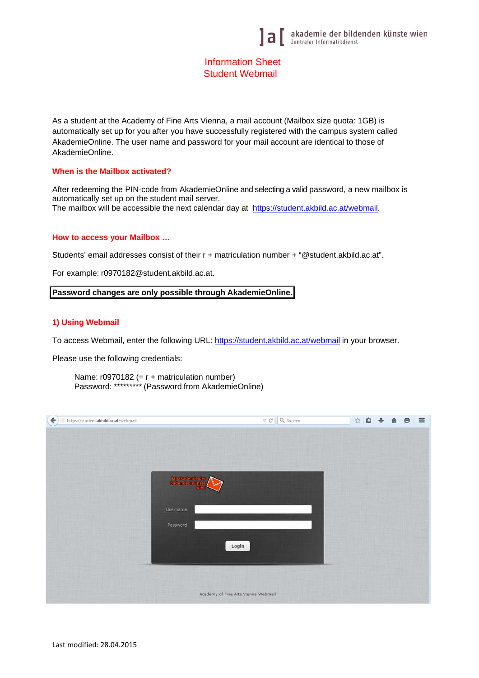# Information Sheet Student Webmail

As a student at the Academy of Fine Arts Vienna, a mail account (Mailbox size quota: 1GB) is automatically set up for you after you have successfully registered with the campus system called AkademieOnline. The user name and password for your mail account are identical to those of AkademieOnline.

#### **When is the Mailbox activated?**

After redeeming the PIN-code from AkademieOnline and selecting a valid password, a new mailbox is automatically set up on the student mail server. The mailbox will be accessible the next calendar day at https://student.akbild.ac.at/webmail.

#### **How to access your Mailbox …**

Students' email addresses consist of their r + matriculation number + "@student.akbild.ac.at".

For example: r0970182@student.akbild.ac.at.

#### **Password changes are only possible through AkademieOnline.**

## **1) Using Webmail**

To access Webmail, enter the following URL: https://student.akbild.ac.at/webmail in your browser.

Please use the following credentials:

Name: r0970182 (= r + matriculation number) Password: \*\*\*\*\*\*\*\*\* (Password from AkademieOnline)

| https://student.akbild.ac.at/webmail                | $\mathrel{\triangledown} \mathrel{\mathcal{C}}$ | Q Suchen | ☆自→ |  | $\bullet$ | $\equiv$ |
|-----------------------------------------------------|-------------------------------------------------|----------|-----|--|-----------|----------|
|                                                     |                                                 |          |     |  |           |          |
|                                                     |                                                 |          |     |  |           |          |
|                                                     |                                                 |          |     |  |           |          |
| <b>Jeff akademie der</b><br><b>Coldenden künste</b> |                                                 |          |     |  |           |          |
|                                                     | فسنوا                                           |          |     |  |           |          |
| Username                                            |                                                 |          |     |  |           |          |
|                                                     |                                                 |          |     |  |           |          |
| Password                                            |                                                 |          |     |  |           |          |
|                                                     | Login                                           |          |     |  |           |          |
|                                                     |                                                 |          |     |  |           |          |
|                                                     |                                                 |          |     |  |           |          |
|                                                     |                                                 |          |     |  |           |          |
|                                                     | Academy of Fine Arts Vienna Webmail             |          |     |  |           |          |